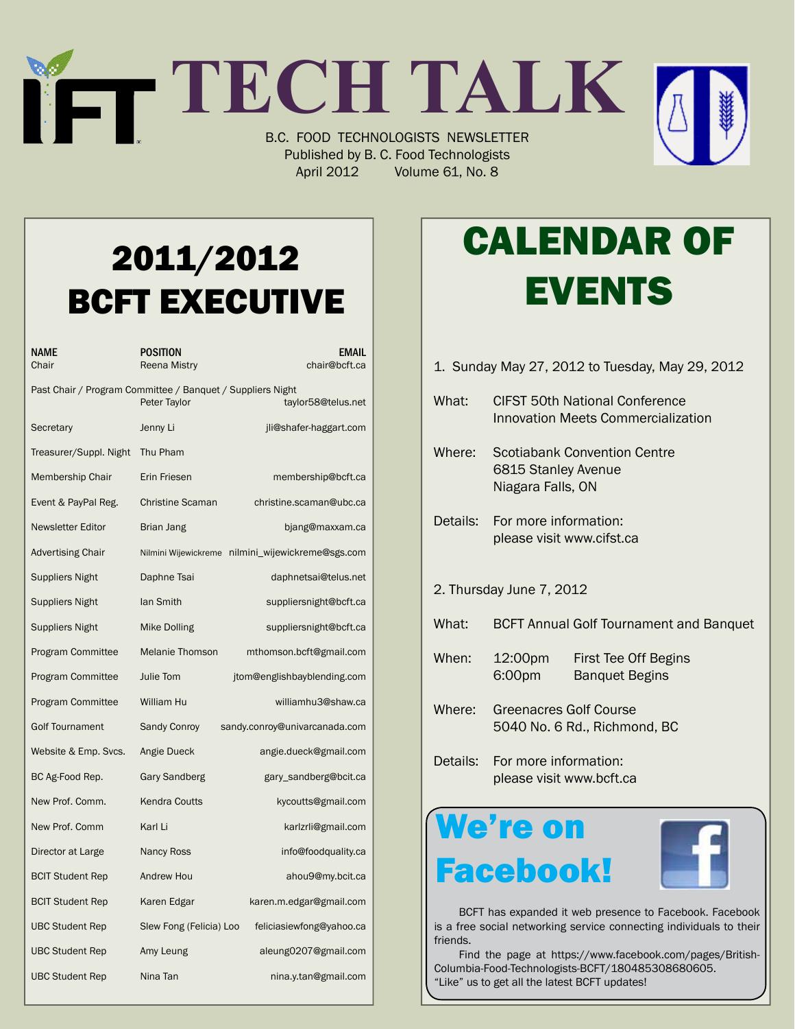## **TECH TALK** B.C. FOOD TECHNOLOGISTS NEWSLETTER Published by B. C. Food Technologists

April 2012 Volume 61, No. 8

2011/2012 BCFT EXECUTIVE

| NAME<br>Chair                                                                                    | POSITION<br><b>Reena Mistry</b> | <b>EMAIL</b><br>chair@bcft.ca                     |  |  |
|--------------------------------------------------------------------------------------------------|---------------------------------|---------------------------------------------------|--|--|
| Past Chair / Program Committee / Banquet / Suppliers Night<br>Peter Taylor<br>taylor58@telus.net |                                 |                                                   |  |  |
| Secretary                                                                                        | Jenny Li                        | jli@shafer-haggart.com                            |  |  |
| Treasurer/Suppl. Night                                                                           | Thu Pham                        |                                                   |  |  |
| Membership Chair                                                                                 | Erin Friesen                    | membership@bcft.ca                                |  |  |
| Event & PayPal Reg.                                                                              | <b>Christine Scaman</b>         | christine.scaman@ubc.ca                           |  |  |
| <b>Newsletter Editor</b>                                                                         | Brian Jang                      | bjang@maxxam.ca                                   |  |  |
| <b>Advertising Chair</b>                                                                         |                                 | Nilmini Wijewickreme nilmini_wijewickreme@sgs.com |  |  |
| <b>Suppliers Night</b>                                                                           | Daphne Tsai                     | daphnetsai@telus.net                              |  |  |
| <b>Suppliers Night</b>                                                                           | lan Smith                       | suppliersnight@bcft.ca                            |  |  |
| Suppliers Night                                                                                  | Mike Dolling                    | suppliersnight@bcft.ca                            |  |  |
| <b>Program Committee</b>                                                                         | <b>Melanie Thomson</b>          | mthomson.bcft@gmail.com                           |  |  |
| <b>Program Committee</b>                                                                         | Julie Tom                       | jtom@englishbayblending.com                       |  |  |
| <b>Program Committee</b>                                                                         | William Hu                      | williamhu3@shaw.ca                                |  |  |
| <b>Golf Tournament</b>                                                                           | <b>Sandy Conroy</b>             | sandy.conroy@univarcanada.com                     |  |  |
| Website & Emp. Svcs.                                                                             | Angie Dueck                     | angie.dueck@gmail.com                             |  |  |
| BC Ag-Food Rep.                                                                                  | Gary Sandberg                   | gary_sandberg@bcit.ca                             |  |  |
| New Prof. Comm.                                                                                  | <b>Kendra Coutts</b>            | kycoutts@gmail.com                                |  |  |
| New Prof. Comm                                                                                   | Karl Li                         | karlzrli@gmail.com                                |  |  |
| Director at Large                                                                                | <b>Nancy Ross</b>               | info@foodquality.ca                               |  |  |
| <b>BCIT Student Rep</b>                                                                          | Andrew Hou                      | ahou9@my.bcit.ca                                  |  |  |
| <b>BCIT Student Rep</b>                                                                          | Karen Edgar                     | karen.m.edgar@gmail.com                           |  |  |
| <b>UBC Student Rep</b>                                                                           | Slew Fong (Felicia) Loo         | feliciasiewfong@yahoo.ca                          |  |  |
| <b>UBC Student Rep</b>                                                                           | Amy Leung                       | aleung0207@gmail.com                              |  |  |
| <b>UBC Student Rep</b>                                                                           | Nina Tan                        | nina.y.tan@gmail.com                              |  |  |

# Calendar Of **EVENTS**

1. Sunday May 27, 2012 to Tuesday, May 29, 2012 What: CIFST 50th National Conference Innovation Meets Commercialization Where: Scotiabank Convention Centre 6815 Stanley Avenue Niagara Falls, ON Details: For more information: please visit www.cifst.ca 2. Thursday June 7, 2012 What: BCFT Annual Golf Tournament and Banquet When: 12:00pm First Tee Off Begins 6:00pm Banquet Begins Where: Greenacres Golf Course 5040 No. 6 Rd., Richmond, BC Details: For more information: please visit www.bcft.ca We're on

 BCFT has expanded it web presence to Facebook. Facebook is a free social networking service connecting individuals to their friends.

Facebook!

 Find the page at https://www.facebook.com/pages/British-Columbia-Food-Technologists-BCFT/180485308680605. "Like" us to get all the latest BCFT updates!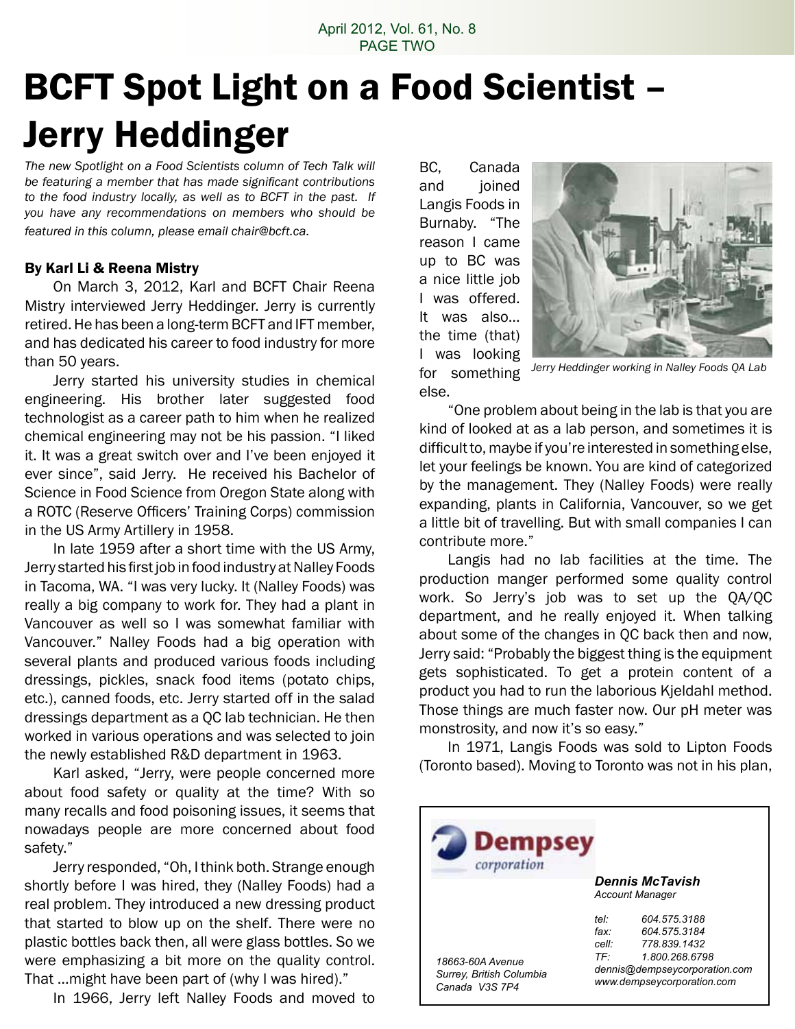### April 2012, Vol. 61, No. 8 PAGE TWO

# BCFT Spot Light on a Food Scientist – Jerry Heddinger

*The new Spotlight on a Food Scientists column of Tech Talk will be featuring a member that has made significant contributions to the food industry locally, as well as to BCFT in the past. If you have any recommendations on members who should be featured in this column, please email chair@bcft.ca.*

### By Karl Li & Reena Mistry

 On March 3, 2012, Karl and BCFT Chair Reena Mistry interviewed Jerry Heddinger. Jerry is currently retired.He has been a long-term BCFT and IFT member, and has dedicated his career to food industry for more than 50 years.

 Jerry started his university studies in chemical engineering. His brother later suggested food technologist as a career path to him when he realized chemical engineering may not be his passion. "I liked it. It was a great switch over and I've been enjoyed it ever since", said Jerry. He received his Bachelor of Science in Food Science from Oregon State along with a ROTC (Reserve Officers' Training Corps) commission in the US Army Artillery in 1958.

 In late 1959 after a short time with the US Army, Jerry started his first job in food industry at Nalley Foods in Tacoma, WA. "I was very lucky. It (Nalley Foods) was really a big company to work for. They had a plant in Vancouver as well so I was somewhat familiar with Vancouver." Nalley Foods had a big operation with several plants and produced various foods including dressings, pickles, snack food items (potato chips, etc.), canned foods, etc. Jerry started off in the salad dressings department as a QC lab technician. He then worked in various operations and was selected to join the newly established R&D department in 1963.

 Karl asked, "Jerry, were people concerned more about food safety or quality at the time? With so many recalls and food poisoning issues, it seems that nowadays people are more concerned about food safety."

 Jerry responded, "Oh, I think both. Strange enough shortly before I was hired, they (Nalley Foods) had a real problem. They introduced a new dressing product that started to blow up on the shelf. There were no plastic bottles back then, all were glass bottles. So we were emphasizing a bit more on the quality control. That …might have been part of (why I was hired)."

 In 1966, Jerry left Nalley Foods and moved to

BC, Canada and joined Langis Foods in Burnaby. "The reason I came up to BC was a nice little job I was offered. It was also… the time (that) I was looking for something else.



*Jerry Heddinger working in Nalley Foods QA Lab*

 "One problem about being in the lab is that you are kind of looked at as a lab person, and sometimes it is difficult to, maybe if you're interested in something else, let your feelings be known. You are kind of categorized by the management. They (Nalley Foods) were really expanding, plants in California, Vancouver, so we get a little bit of travelling. But with small companies I can contribute more."

 Langis had no lab facilities at the time. The production manger performed some quality control work. So Jerry's job was to set up the QA/QC department, and he really enjoyed it. When talking about some of the changes in QC back then and now, Jerry said: "Probably the biggest thing is the equipment gets sophisticated. To get a protein content of a product you had to run the laborious Kjeldahl method. Those things are much faster now. Our pH meter was monstrosity, and now it's so easy."

 In 1971, Langis Foods was sold to Lipton Foods (Toronto based). Moving to Toronto was not in his plan,

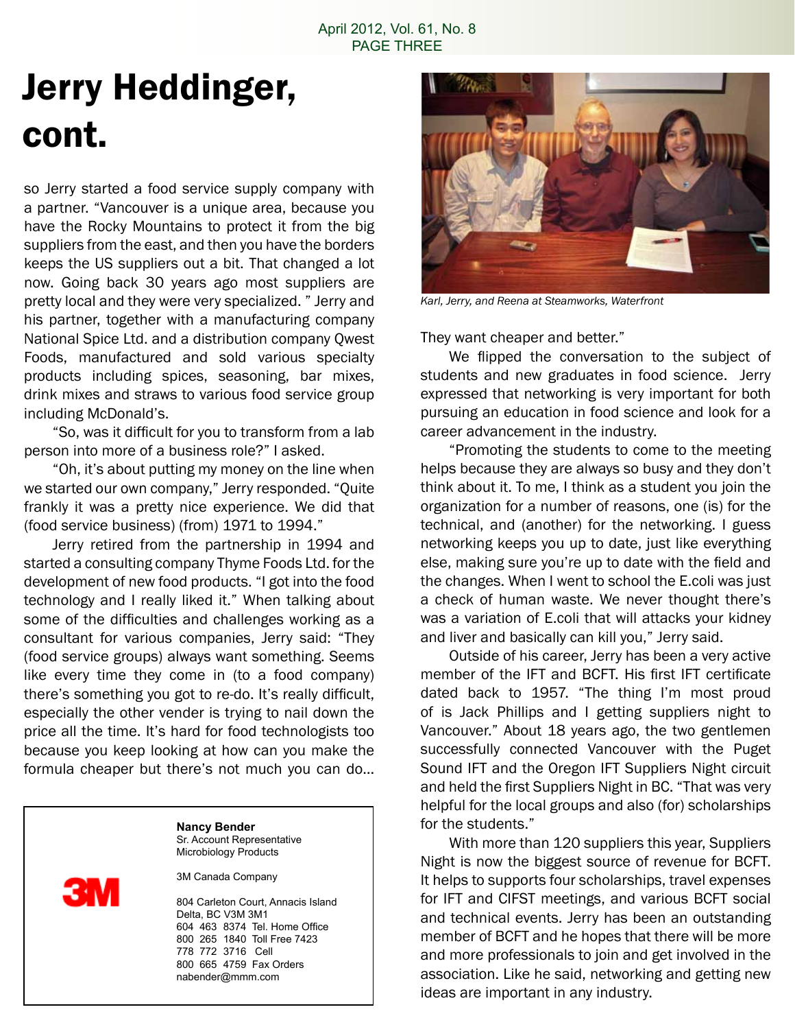## Jerry Heddinger, cont.

so Jerry started a food service supply company with a partner. "Vancouver is a unique area, because you have the Rocky Mountains to protect it from the big suppliers from the east, and then you have the borders keeps the US suppliers out a bit. That changed a lot now. Going back 30 years ago most suppliers are pretty local and they were very specialized. " Jerry and his partner, together with a manufacturing company National Spice Ltd. and a distribution company Qwest Foods, manufactured and sold various specialty products including spices, seasoning, bar mixes, drink mixes and straws to various food service group including McDonald's.

 "So, was it difficult for you to transform from a lab person into more of a business role?" I asked.

 "Oh, it's about putting my money on the line when we started our own company," Jerry responded. "Quite frankly it was a pretty nice experience. We did that (food service business) (from) 1971 to 1994."

 Jerry retired from the partnership in 1994 and started a consulting company Thyme Foods Ltd. for the development of new food products. "I got into the food technology and I really liked it." When talking about some of the difficulties and challenges working as a consultant for various companies, Jerry said: "They (food service groups) always want something. Seems like every time they come in (to a food company) there's something you got to re-do. It's really difficult, especially the other vender is trying to nail down the price all the time. It's hard for food technologists too because you keep looking at how can you make the formula cheaper but there's not much you can do…

#### **Nancy Bender** Sr. Account Representative Microbiology Products

3M Canada Company

3N

804 Carleton Court, Annacis Island Delta, BC V3M 3M1 604 463 8374 Tel. Home Office 800 265 1840 Toll Free 7423 778 772 3716 Cell 800 665 4759 Fax Orders nabender@mmm.com



*Karl, Jerry, and Reena at Steamworks, Waterfront*

They want cheaper and better."

 We flipped the conversation to the subject of students and new graduates in food science. Jerry expressed that networking is very important for both pursuing an education in food science and look for a career advancement in the industry.

 "Promoting the students to come to the meeting helps because they are always so busy and they don't think about it. To me, I think as a student you join the organization for a number of reasons, one (is) for the technical, and (another) for the networking. I guess networking keeps you up to date, just like everything else, making sure you're up to date with the field and the changes. When I went to school the E.coli was just a check of human waste. We never thought there's was a variation of E.coli that will attacks your kidney and liver and basically can kill you," Jerry said.

 Outside of his career, Jerry has been a very active member of the IFT and BCFT. His first IFT certificate dated back to 1957. "The thing I'm most proud of is Jack Phillips and I getting suppliers night to Vancouver." About 18 years ago, the two gentlemen successfully connected Vancouver with the Puget Sound IFT and the Oregon IFT Suppliers Night circuit and held the first Suppliers Night in BC. "That was very helpful for the local groups and also (for) scholarships for the students."

 With more than 120 suppliers this year, Suppliers Night is now the biggest source of revenue for BCFT. It helps to supports four scholarships, travel expenses for IFT and CIFST meetings, and various BCFT social and technical events. Jerry has been an outstanding member of BCFT and he hopes that there will be more and more professionals to join and get involved in the association. Like he said, networking and getting new ideas are important in any industry.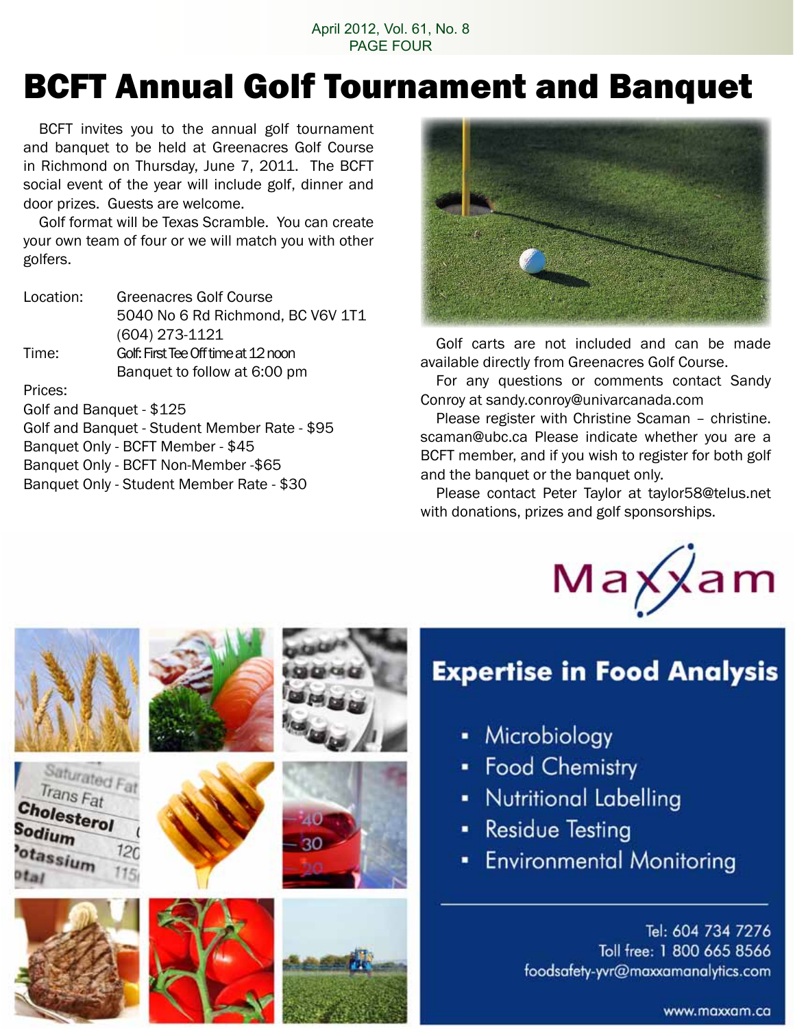### April 2012, Vol. 61, No. 8 PAGE FOUR

## BCFT Annual Golf Tournament and Banquet

 BCFT invites you to the annual golf tournament and banquet to be held at Greenacres Golf Course in Richmond on Thursday, June 7, 2011. The BCFT social event of the year will include golf, dinner and door prizes. Guests are welcome.

 Golf format will be Texas Scramble. You can create your own team of four or we will match you with other golfers.

| Location:     | <b>Greenacres Golf Course</b>       |
|---------------|-------------------------------------|
|               | 5040 No 6 Rd Richmond, BC V6V 1T1   |
|               | $(604)$ 273-1121                    |
| Time:         | Golf: First Tee Off time at 12 noon |
|               | Banquet to follow at 6:00 pm        |
| <b>Duisse</b> |                                     |

Prices:

Golf and Banquet - \$125 Golf and Banquet - Student Member Rate - \$95 Banquet Only - BCFT Member - \$45 Banquet Only - BCFT Non-Member -\$65 Banquet Only - Student Member Rate - \$30



 Golf carts are not included and can be made available directly from Greenacres Golf Course.

 For any questions or comments contact Sandy Conroy at sandy.conroy@univarcanada.com

 Please register with Christine Scaman – christine. scaman@ubc.ca Please indicate whether you are a BCFT member, and if you wish to register for both golf and the banquet or the banquet only.

 Please contact Peter Taylor at taylor58@telus.net with donations, prizes and golf sponsorships.



### **Expertise in Food Analysis**

- Microbiology
- Food Chemistry
- Nutritional Labelling
- **Residue Testing**
- **Environmental Monitoring**

Tel: 604 734 7276 Toll free: 1 800 665 8566 foodsafety-yvr@maxxamanalytics.com

www.maxxam.ca

|                                                                                                      | <b>UMUU</b> |
|------------------------------------------------------------------------------------------------------|-------------|
| Saturated Fat<br>Trans Fat<br>Cholesterol<br>iodium<br>120<br>otassium<br>115 <sub>i</sub><br>$t$ al | 40<br>30    |
|                                                                                                      |             |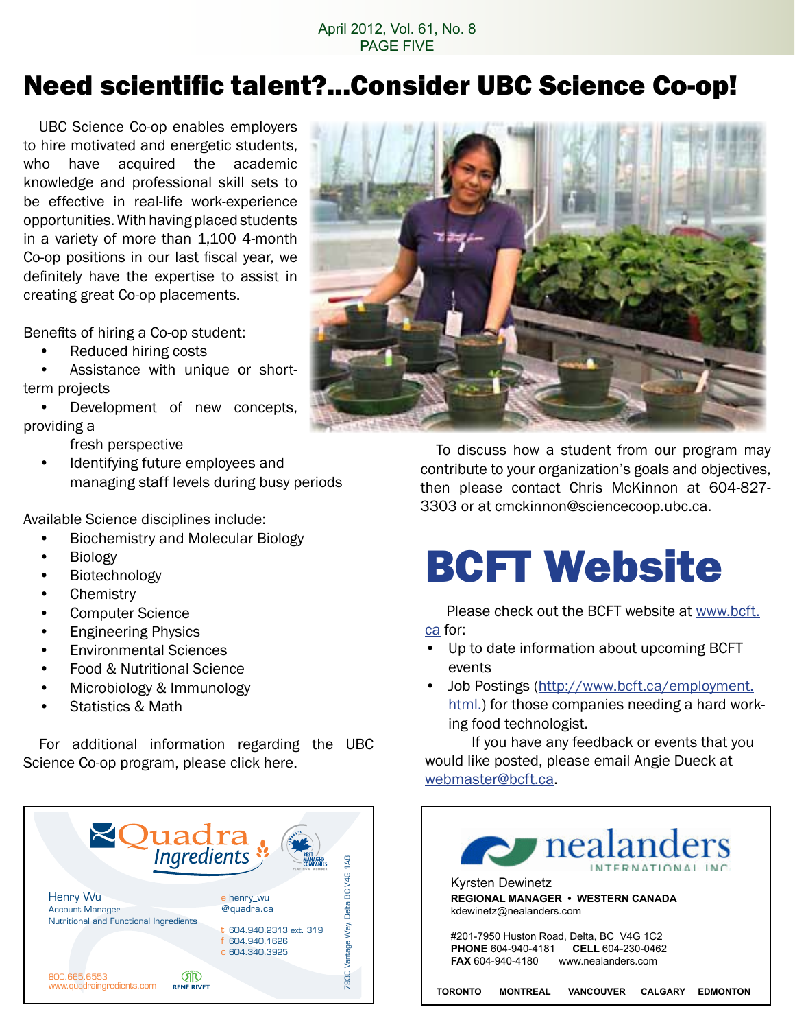### April 2012, Vol. 61, No. 8 PAGE FIVE

### Need scientific talent?...Consider UBC Science Co-op!

 UBC Science Co-op enables employers to hire motivated and energetic students, who have acquired the academic knowledge and professional skill sets to be effective in real-life work-experience opportunities. With having placed students in a variety of more than 1,100 4-month Co-op positions in our last fiscal year, we definitely have the expertise to assist in creating great Co-op placements.

Benefits of hiring a Co-op student:

- Reduced hiring costs
- Assistance with unique or shortterm projects
- Development of new concepts, providing a
	- fresh perspective
	- Identifying future employees and managing staff levels during busy periods

Available Science disciplines include:

- **Biochemistry and Molecular Biology**
- • Biology
- Biotechnology
- • Chemistry
- • Computer Science
- **Engineering Physics**
- • Environmental Sciences
- **Food & Nutritional Science**
- Microbiology & Immunology
- Statistics & Math

 For additional information regarding the UBC Science Co-op program, please click here.





 To discuss how a student from our program may contribute to your organization's goals and objectives, then please contact Chris McKinnon at 604-827- 3303 or at cmckinnon@sciencecoop.ubc.ca.

# BCFT Website

Please check out the BCFT website at www.bcft.

ca for:

- • Up to date information about upcoming BCFT events
- Job Postings (http://www.bcft.ca/employment. html.) for those companies needing a hard working food technologist.

 If you have any feedback or events that you would like posted, please email Angie Dueck at webmaster@bcft.ca.

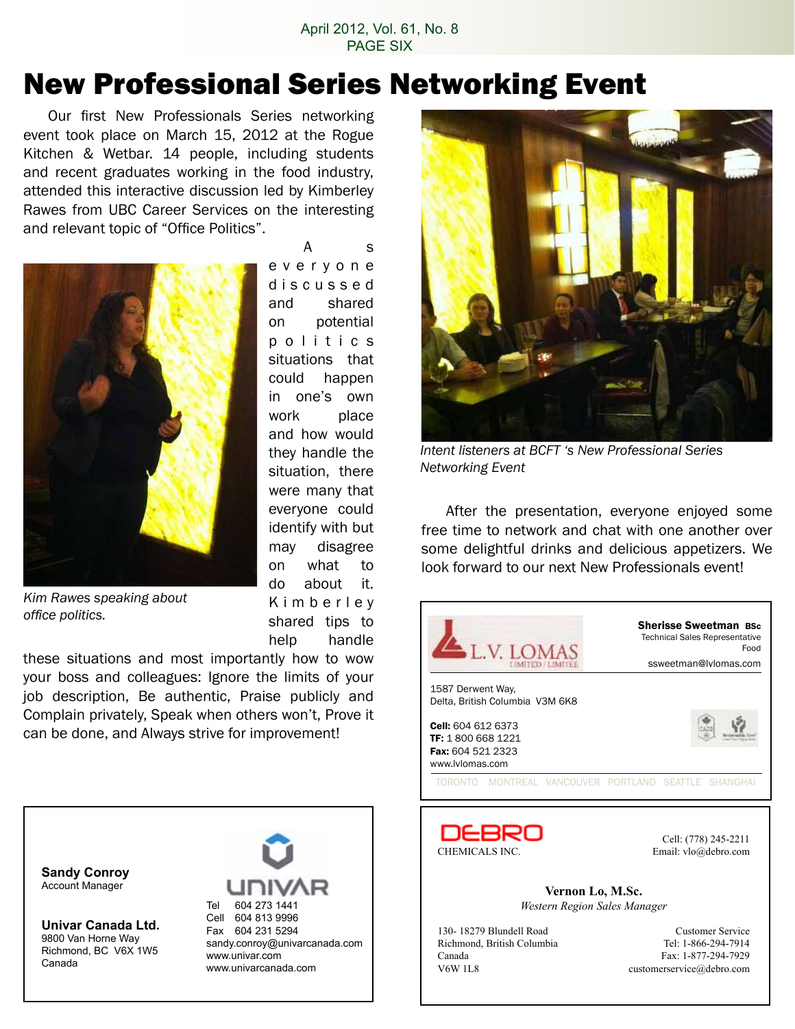### April 2012, Vol. 61, No. 8 PAGE SIX

### New Professional Series Networking Event

 Our first New Professionals Series networking event took place on March 15, 2012 at the Rogue Kitchen & Wetbar. 14 people, including students and recent graduates working in the food industry, attended this interactive discussion led by Kimberley Rawes from UBC Career Services on the interesting and relevant topic of "Office Politics".



 A s e v e r y o n e d i s c u s s e d and shared on potential p o l i t i c s situations that could happen in one's own work place and how would they handle the situation, there were many that everyone could identify with but may disagree on what to do about it. K i m b e r l e y shared tips to help handle

*Kim Rawes speaking about office politics.*

these situations and most importantly how to wow your boss and colleagues: Ignore the limits of your job description, Be authentic, Praise publicly and Complain privately, Speak when others won't, Prove it can be done, and Always strive for improvement!





*Intent listeners at BCFT 's New Professional Series Networking Event*

 After the presentation, everyone enjoyed some free time to network and chat with one another over some delightful drinks and delicious appetizers. We look forward to our next New Professionals event!





Cell: (778) 245-2211

**Vernon Lo, M.Sc.** *Western Region Sales Manager*

Canada Fax: 1-877-294-7929<br>V6W 1L8 customerservice@debro.com

130- 18279 Blundell Road Customer Service Richmond, British Columbia Tel: 1-866-294-7914 customerservice@debro.com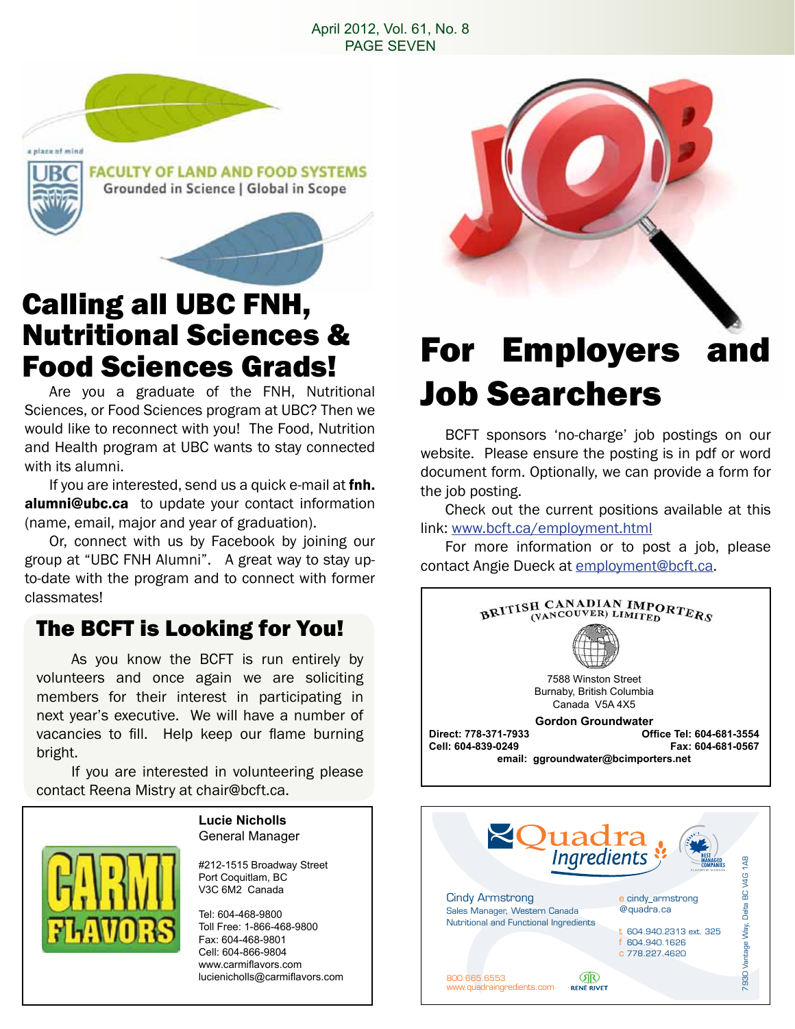### April 2012, Vol. 61, No. 8 PAGE SEVEN



# Calling all UBC FNH, Nutritional Sciences &

 Are you a graduate of the FNH, Nutritional Sciences, or Food Sciences program at UBC? Then we would like to reconnect with you! The Food, Nutrition and Health program at UBC wants to stay connected with its alumni.

If you are interested, send us a quick e-mail at fnh. alumni@ubc.ca to update your contact information (name, email, major and year of graduation).

 Or, connect with us by Facebook by joining our group at "UBC FNH Alumni". A great way to stay upto-date with the program and to connect with former classmates!

### The BCFT is Looking for You!

 As you know the BCFT is run entirely by volunteers and once again we are soliciting members for their interest in participating in next year's executive. We will have a number of vacancies to fill. Help keep our flame burning bright.

 If you are interested in volunteering please contact Reena Mistry at chair@bcft.ca.

#### **Lucie Nicholls** General Manager

#212-1515 Broadway Street Port Coquitlam, BC V3C 6M2 Canada

Tel: 604-468-9800 Toll Free: 1-866-468-9800 Fax: 604-468-9801 Cell: 604-866-9804 www.carmiflavors.com lucienicholls@carmiflavors.com

## Food Sciences Grads! For Employers and Job Searchers

 BCFT sponsors 'no-charge' job postings on our website. Please ensure the posting is in pdf or word document form. Optionally, we can provide a form for the job posting.

 Check out the current positions available at this link: www.bcft.ca/employment.html

 For more information or to post a job, please contact Angie Dueck at employment@bcft.ca.